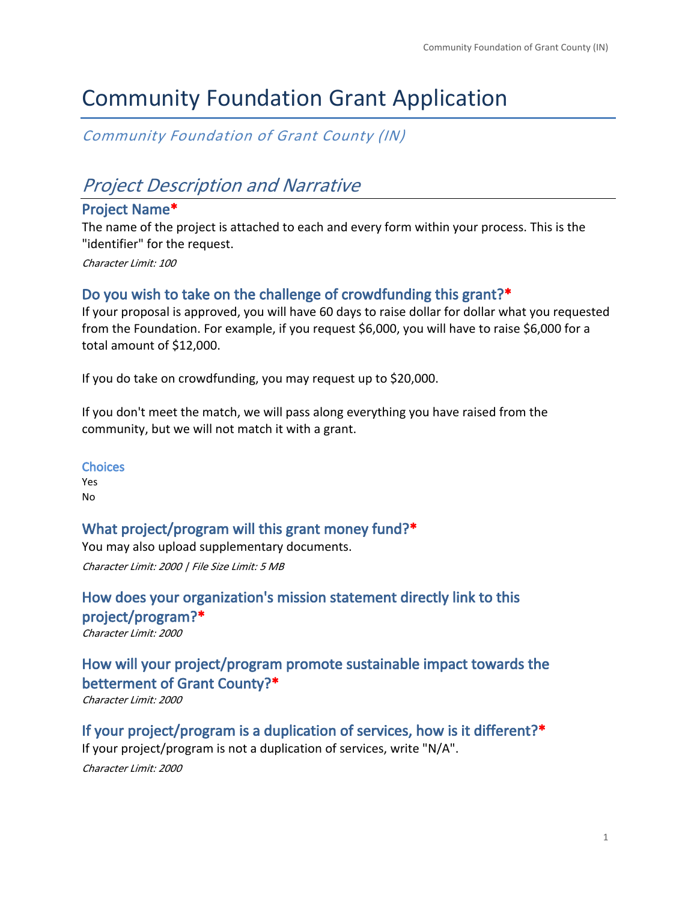# Community Foundation Grant Application

*Community Foundation of Grant County (IN)*

## *Project Description and Narrative*

#### **Project Name\***

The name of the project is attached to each and every form within your process. This is the "identifier" for the request.

*Character Limit: 100*

#### **Do you wish to take on the challenge of crowdfunding this grant?\***

If your proposal is approved, you will have 60 days to raise dollar for dollar what you requested from the Foundation. For example, if you request \$6,000, you will have to raise \$6,000 for a total amount of \$12,000.

If you do take on crowdfunding, you may request up to \$20,000.

If you don't meet the match, we will pass along everything you have raised from the community, but we will not match it with a grant.

#### **Choices**

Yes No

#### **What project/program will this grant money fund?\***

You may also upload supplementary documents. *Character Limit: 2000 | File Size Limit: 5 MB*

**How does your organization's mission statement directly link to this project/program?\*** *Character Limit: 2000*

## **How will your project/program promote sustainable impact towards the betterment of Grant County?\***

*Character Limit: 2000*

**If your project/program is a duplication of services, how is it different?\*** If your project/program is not a duplication of services, write "N/A". *Character Limit: 2000*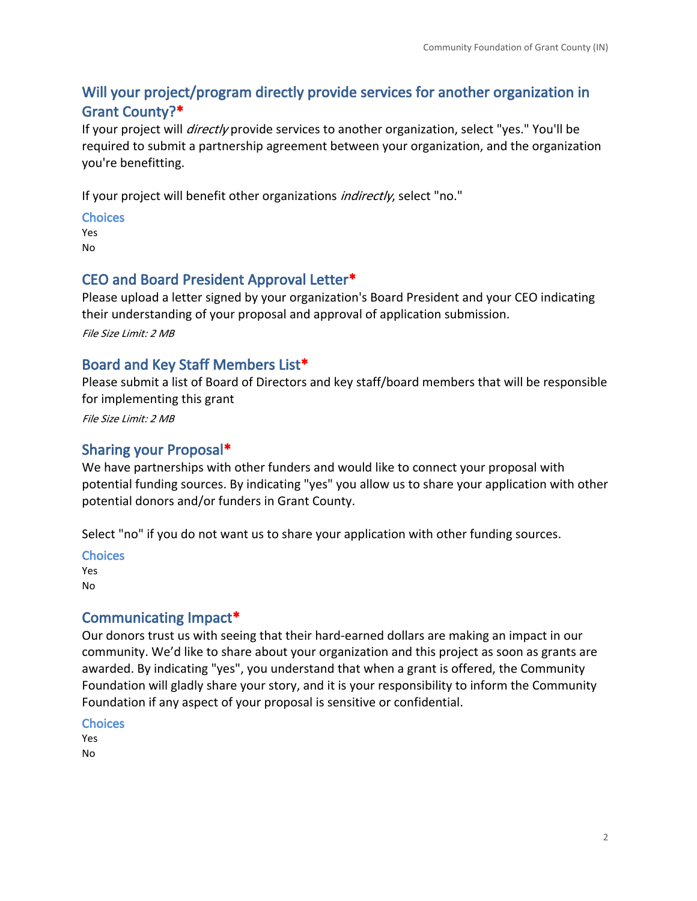## **Will your project/program directly provide services for another organization in Grant County?\***

If your project will *directly* provide services to another organization, select "yes." You'll be required to submit a partnership agreement between your organization, and the organization you're benefitting.

If your project will benefit other organizations *indirectly*, select "no."

**Choices** Yes

No

#### **CEO and Board President Approval Letter\***

Please upload a letter signed by your organization's Board President and your CEO indicating their understanding of your proposal and approval of application submission.

*File Size Limit: 2 MB*

#### **Board and Key Staff Members List\***

Please submit a list of Board of Directors and key staff/board members that will be responsible for implementing this grant

*File Size Limit: 2 MB*

#### **Sharing your Proposal\***

We have partnerships with other funders and would like to connect your proposal with potential funding sources. By indicating "yes" you allow us to share your application with other potential donors and/or funders in Grant County.

Select "no" if you do not want us to share your application with other funding sources.

**Choices**

Yes No

#### **Communicating Impact\***

Our donors trust us with seeing that their hard-earned dollars are making an impact in our community. We'd like to share about your organization and this project as soon as grants are awarded. By indicating "yes", you understand that when a grant is offered, the Community Foundation will gladly share your story, and it is your responsibility to inform the Community Foundation if any aspect of your proposal is sensitive or confidential.

#### **Choices**

Yes No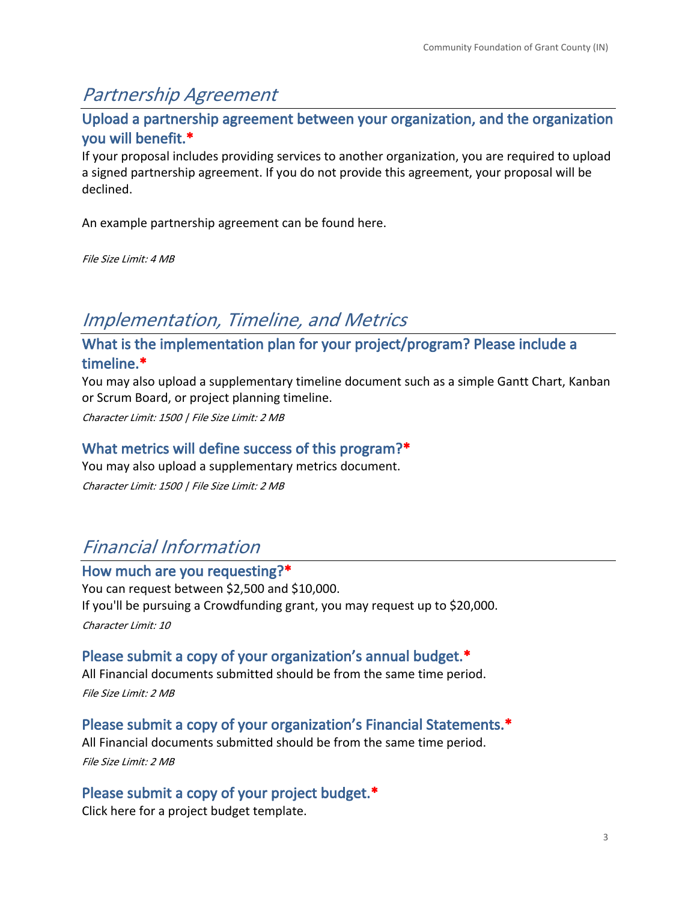## *Partnership Agreement*

**Upload a partnership agreement between your organization, and the organization you will benefit.\***

If your proposal includes providing services to another organization, you are required to upload a signed partnership agreement. If you do not provide this agreement, your proposal will be declined.

An example partnership agreement can be found [here.](https://givetogrant.org/wp-content/uploads/2021/09/Sample-Partnership-Agreement.pdf)

*File Size Limit: 4 MB*

## *Implementation, Timeline, and Metrics*

## **What is the implementation plan for your project/program? Please include a timeline.\***

You may also upload a supplementary timeline document such as a simple Gantt Chart, Kanban or Scrum Board, or project planning timeline.

*Character Limit: 1500 | File Size Limit: 2 MB*

### **What metrics will define success of this program?\***

You may also upload a supplementary metrics document. *Character Limit: 1500 | File Size Limit: 2 MB*

## *Financial Information*

#### **How much are you requesting?\***

You can request between \$2,500 and \$10,000. If you'll be pursuing a Crowdfunding grant, you may request up to \$20,000. *Character Limit: 10*

### **Please submit a copy of your organization's annual budget.\***

All Financial documents submitted should be from the same time period. *File Size Limit: 2 MB*

**Please submit a copy of your organization's Financial Statements.\***

All Financial documents submitted should be from the same time period. *File Size Limit: 2 MB*

**Please submit a copy of your project budget.\***

Click [here](https://givetogrant.org/wp-content/uploads/2021/08/1.-Project-Budget-Template.xlsx) for a project budget template.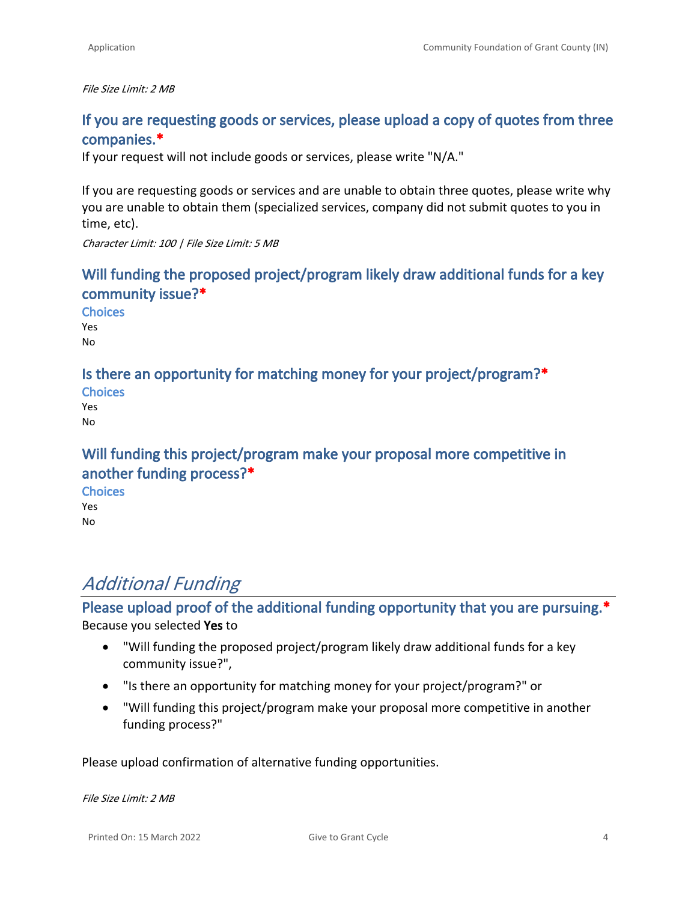*File Size Limit: 2 MB*

### **If you are requesting goods or services, please upload a copy of quotes from three companies.\***

If your request will not include goods or services, please write "N/A."

If you are requesting goods or services and are unable to obtain three quotes, please write why you are unable to obtain them (specialized services, company did not submit quotes to you in time, etc).

*Character Limit: 100 | File Size Limit: 5 MB*

### **Will funding the proposed project/program likely draw additional funds for a key community issue?\***

**Choices** Yes No

### **Is there an opportunity for matching money for your project/program?\***

| <b>Choices</b> |
|----------------|
| Yes            |
| No             |

## **Will funding this project/program make your proposal more competitive in another funding process?\***

**Choices** Yes No

## *Additional Funding*

## **Please upload proof of the additional funding opportunity that you are pursuing.\*** Because you selected **Yes** to

- "Will funding the proposed project/program likely draw additional funds for a key community issue?",
- "Is there an opportunity for matching money for your project/program?" or
- "Will funding this project/program make your proposal more competitive in another funding process?"

Please upload confirmation of alternative funding opportunities.

*File Size Limit: 2 MB*

Printed On: 15 March 2022 Give to Grant Cycle 4